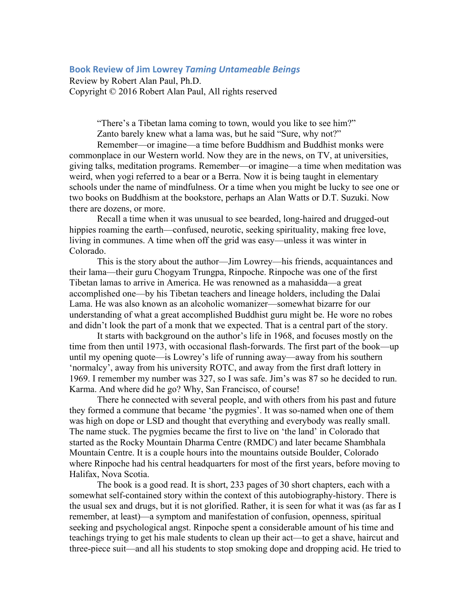## **Book Review of Jim Lowrey** *Taming Untameable Beings*

Review by Robert Alan Paul, Ph.D. Copyright © 2016 Robert Alan Paul, All rights reserved

> "There's a Tibetan lama coming to town, would you like to see him?" Zanto barely knew what a lama was, but he said "Sure, why not?"

Remember—or imagine—a time before Buddhism and Buddhist monks were commonplace in our Western world. Now they are in the news, on TV, at universities, giving talks, meditation programs. Remember—or imagine—a time when meditation was weird, when yogi referred to a bear or a Berra. Now it is being taught in elementary schools under the name of mindfulness. Or a time when you might be lucky to see one or two books on Buddhism at the bookstore, perhaps an Alan Watts or D.T. Suzuki. Now there are dozens, or more.

Recall a time when it was unusual to see bearded, long-haired and drugged-out hippies roaming the earth—confused, neurotic, seeking spirituality, making free love, living in communes. A time when off the grid was easy—unless it was winter in Colorado.

This is the story about the author—Jim Lowrey—his friends, acquaintances and their lama—their guru Chogyam Trungpa, Rinpoche. Rinpoche was one of the first Tibetan lamas to arrive in America. He was renowned as a mahasidda—a great accomplished one—by his Tibetan teachers and lineage holders, including the Dalai Lama. He was also known as an alcoholic womanizer—somewhat bizarre for our understanding of what a great accomplished Buddhist guru might be. He wore no robes and didn't look the part of a monk that we expected. That is a central part of the story.

It starts with background on the author's life in 1968, and focuses mostly on the time from then until 1973, with occasional flash-forwards. The first part of the book—up until my opening quote—is Lowrey's life of running away—away from his southern 'normalcy', away from his university ROTC, and away from the first draft lottery in 1969. I remember my number was 327, so I was safe. Jim's was 87 so he decided to run. Karma. And where did he go? Why, San Francisco, of course!

There he connected with several people, and with others from his past and future they formed a commune that became 'the pygmies'. It was so-named when one of them was high on dope or LSD and thought that everything and everybody was really small. The name stuck. The pygmies became the first to live on 'the land' in Colorado that started as the Rocky Mountain Dharma Centre (RMDC) and later became Shambhala Mountain Centre. It is a couple hours into the mountains outside Boulder, Colorado where Rinpoche had his central headquarters for most of the first years, before moving to Halifax, Nova Scotia.

The book is a good read. It is short, 233 pages of 30 short chapters, each with a somewhat self-contained story within the context of this autobiography-history. There is the usual sex and drugs, but it is not glorified. Rather, it is seen for what it was (as far as I remember, at least)—a symptom and manifestation of confusion, openness, spiritual seeking and psychological angst. Rinpoche spent a considerable amount of his time and teachings trying to get his male students to clean up their act—to get a shave, haircut and three-piece suit—and all his students to stop smoking dope and dropping acid. He tried to